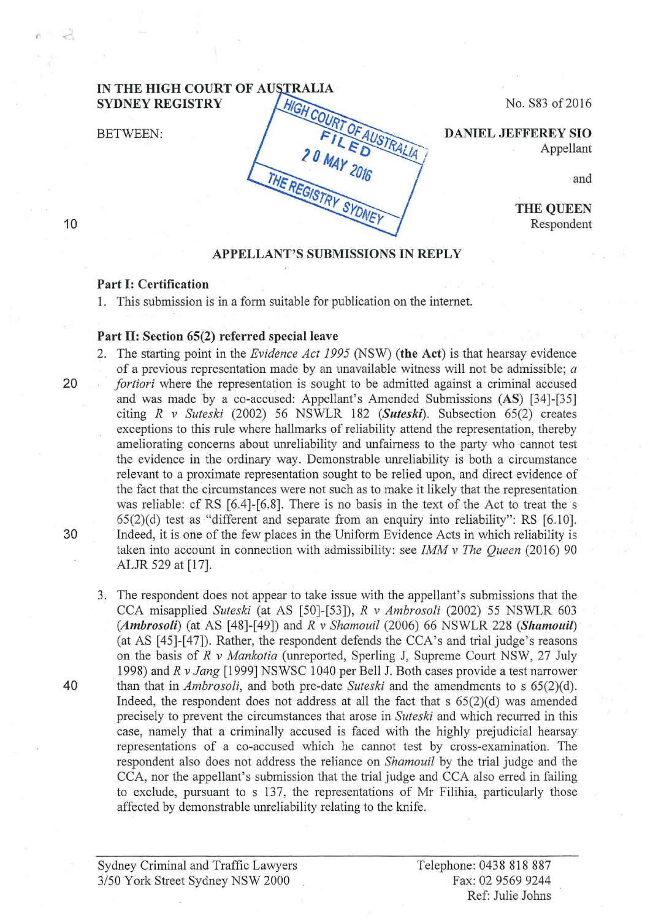## IN THE HIGH COURT OF AUSTRALIA SYDNEY REGISTRY<br>BETWEEN:  $\begin{bmatrix} \frac{HIGH \text{COUT} \text{OFA}}{FIL \text{E D}} \frac{DANIEL \text{ EFEREY} \text{SIO}}{A \text{ppellant}} \end{bmatrix}$ <br>DANIEL JEFFEREY SIO **SYDNEY REGISTRY**

No. S83 of2016

Appellant

and

THE QUEEN Respondent

## APPELLANT'S SUBMISSIONS IN REPLY

## Part 1: Certification

1. This submission is in a form suitable for publication on the internet.

THE REGISTRY

## Part 11: Section 65(2) referred special leave

- 2. The starting point in the *Evidence Act 1995* (NSW) (the Act) is that hearsay evidence of a previous representation made by an unavailable witness will not be admissible; *a*  20 *fortiori* where the representation is sought to be admitted against a criminal accused and was made by a eo-accused: Appellant's Amended Submissions (AS) [34]-[35] citing *R v Suteski* (2002) 56 NSWLR 182 *(Suteski).* Subsection 65(2) creates exceptions to this rule where hallmarks of reliability attend the representation, thereby ameliorating concerns about unreliability and unfairness to the party who cannot test the evidence in the ordinary way. Demonstrable unreliability is both a circumstance relevant to a proximate representation sought to be relied upon, and direct evidence of the fact that the circumstances were not such as to make it likely that the representation was reliable: cf RS [6.4]-[6.8]. There is no basis in the text of the Act to treat the s 65(2)(d) test as ''different and separate from an enquiry into reliability": RS [6.10]. 30 Indeed, it is one of the few places in the Uniform Evidence Acts in which reliability is taken into account in connection with admissibility: see *IMM v The Queen* (2016) 90 ALJR 529 at [17].
- 3. The respondent does not appear to take issue with the appellant's submissions that the CCA misapplied *Suteski* (at AS [50]-[53]), *R v Ambrosoli* (2002) 55 NSWLR 603 *(Ambrosoli)* (at AS [48]-[49]) and *R v Shamouil* (2006) 66 NSWLR 228 *(Shamouil)* (at AS [45]-[47]). Rather, the respondent defends the CCA's and trial judge's reasons on the basis of R *v Mankotia* (unreported, Sperling J, Supreme Court NSW, 27 July 1998) and *R v Jang* [1999] NSWSC 1040 per Bell J. Both cases provide a test narrower 40 than that in *Ambrosoli,* and both pre-date *Suteski* and the amendments to s 65(2)(d). Indeed, the respondent does not address at all the fact that  $s$  65(2)(d) was amended precisely to prevent the circumstances that arose in *Suteski* and which recurred in this case, namely that a criminally accused is faced with the highly prejudicial hearsay representations of a eo-accused which he cannot test by cross-examination. The respondent also does not address the reliance on *Shamouil* by the trial judge and the CCA, nor the appellant's submission that the trial judge and CCA also erred in failing to exclude, pursuant to s 137, the representations of Mr Filihia, particularly those affected by demonstrable unreliability relating to the knife.

10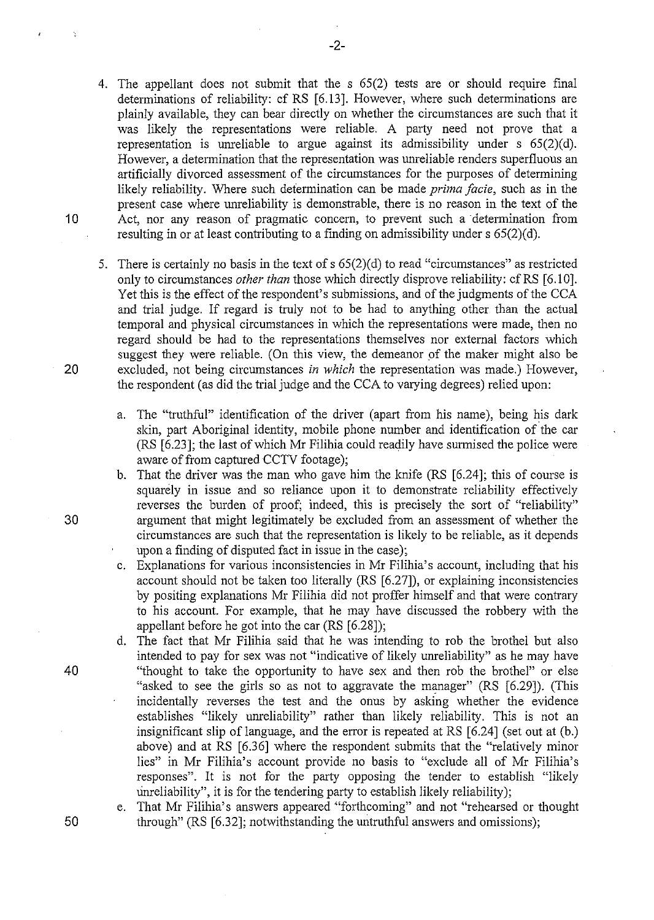- 4. The appellant does not submit that the s 65(2) tests are or should require final determinations of reliability: cf RS [6.13]. However, where such determinations are plainly available, they can bear directly on whether the circumstances are such that it was likely the representations were reliable. A party need not prove that a representation is unreliable to argue against its admissibility under  $s$  65(2)(d). However, a determination that the representation was unreliable renders superfluous an artificially divorced assessment of the circumstances for the purposes of determining likely reliability. Where such determination can be made *prima facie,* such as in the present case where unreliability is demonstrable, there is no reason in the text of the 10 Act, nor any reason of pragmatic concern, to prevent such a determination from resulting in or at least contributing to a finding on admissibility under  $s$  65(2)(d).
- 5. There is certainly no basis in the text of  $s$  65(2)(d) to read "circumstances" as restricted only to circumstances *other than* those which directly disprove reliability: cfRS [6.10]. Yet this is the effect of the respondent's submissions, and of the judgments of the CCA and trial judge. If regard is truly not to be had to anything other than the actual temporal and physical circumstances in which the representations were made, then no regard should be had to the representations themselves nor external factors which suggest they were reliable. (On this view, the demeanor of the maker might also be 20 excluded, not being circumstances *in which* the representation was made.) However, the respondent (as did the trial judge and the CCA to varying degrees) relied upon:
	- a. The "truthful" identification of the driver (apart from his name), being his dark skin, part Aboriginal identity, mobile phone number and identification of the car (RS [6.23]; the last of which Mr Filihia could readily have surmised the police were aware of from captured CCTV footage);
- b. That the driver was the man who gave him the knife (RS [6.24]; this of course is squarely in issue and so reliance upon it to demonstrate reliability effectively reverses the burden of proof; indeed, this is precisely the sort of "reliability" 30 argument that might legitimately be excluded from an assessment of whether the circumstances are such that the representation is likely to be reliable, as it depends upon a finding of disputed fact in issue in the case);
	- c. Explanations for various inconsistencies in Mr Filihia's account, including that his account should not be taken too literally (RS [6.27]), or explaining inconsistencies by positing explanations Mr Filihia did not proffer himself and that were contrary to his account. For example, that he may have discussed the robbery with the appellant before he got into the car (RS [6.28]);
- d. The fact that Mr Filihia said that he was intending to rob the brothel but also intended to pay for sex was not "indicative of likely unreliability" as he may have 40 "thought to take the opportunity to have sex and then rob the brothel" or else "asked to see the girls so as not to aggravate the manager" (RS [6.29]). (This incidentally reverses the test and the onus by asking whether the evidence establishes "likely unreliability" rather than likely reliability. This is not an insignificant slip of language, and the error is repeated at RS [6.24] (set out at (b.) above) and at RS [6.36] where the respondent submits that the "relatively minor lies" in Mr Filihia's account provide no basis to "exclude all of Mr Filihia's responses". It is not for the party opposing the tender to establish "likely unreliability", it is for the tendering party to establish likely reliability);
- e. That Mr Filihia's answers appeared "forthcoming" and not "rehearsed or thought 50 through" (RS [6.32]; notwithstanding the untruthful answers and omissions);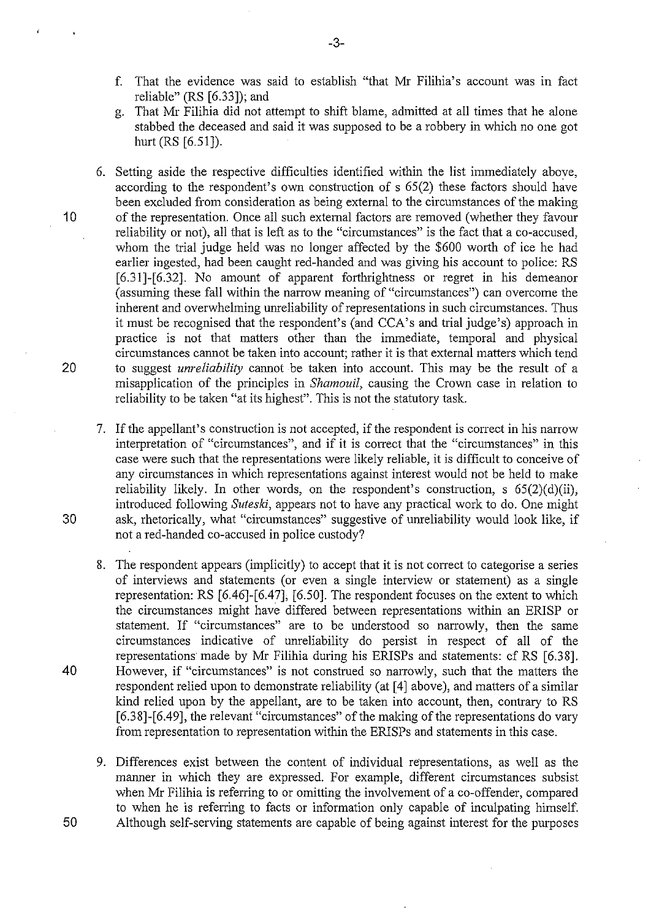- f. That the evidence was said to establish "that Mr Filihia's account was in fact reliable" (RS [6.33]); and
- g. That Mr Filihia did not attempt to shift blame, admitted at all times that he alone stabbed the deceased and said it was supposed to be a robbery in which no one got hurt (RS [6.51]).
- 6. Setting aside the respective difficulties identified within the list immediately above, according to the respondent's own construction of s 65(2) these factors should have been excluded from consideration as being external to the circumstances of the making 10 of the representation. Once all such external factors are removed (whether they favour reliability or not), all that is left as to the "circumstances" is the fact that a eo-accused, whom the trial judge held was no longer affected by the \$600 worth of ice he had earlier ingested, had been caught red-handed and was giving his account to police: RS [6.31]-[6.32]. No amount of apparent forthrightness or regret in his demeanor (assuming these fall within the narrow meaning of "circumstances") can overcome the inherent and overwhelming unreliability of representations in such circumstances. Thus it must be recognised that the respondent's (and CCA's and trial judge's) approach in practice is not that matters other than the immediate, temporal and physical circumstances cannot be taken into account; rather it is that external matters which tend 20 to suggest *unreliability* cannot be taken into account. This may be the result of a misapplication of the principles in *Shamouil,* causing the Crown case in relation to reliability to be taken "at its highest". This is not the statutory task.
- 7. If the appellant's construction is not accepted, if the respondent is correct in his narrow interpretation of "circumstances", and if it is correct that the "circumstances" in this case were such that the representations were likely reliable, it is difficult to conceive of any circumstances in which representations against interest would not be held to make reliability likely. In other words, on the respondent's construction, s  $65(2)(d)(ii)$ , introduced following *Suteski,* appears not to have any practical work to do. One might 30 ask, rhetorically, what "circumstances" suggestive of unreliability would look like, if not a red-handed eo-accused in police custody?
- 8. The respondent appears (implicitly) to accept that it is not conect to categorise a series of interviews and statements (or even a single interview or statement) as a single representation: RS [6.46]-[6.47], [6.50]. The respondent focuses on the extent to which the circumstances might have differed between representations within an ERISP or statement. If "circumstances" are to be understood so narrowly, then the same circumstances indicative of unreliability do persist in respect of all of the representations· made by Mr Filihia during his ERISPs and statements: cf RS [6.38]. 40 However, if "circumstances" is not construed so narrowly, such that the matters the respondent relied upon to demonstrate reliability (at [ 4] above), and matters of a similar kind relied upon by the appellant, are to be taken into account, then, contrary to RS [6.38]-[6.49], the relevant "circumstances" of the making of the representations do vary from representation to representation within the ERISPs and statements in this case.
- 9. Differences exist between the content of individual representations, as well as the manner in which they are expressed. For example, different circumstances subsist when Mr Filihia is referring to or omitting the involvement of a eo-offender, compared to when he is referring to facts or information only capable of inculpating himself. 50 Although self-serving statements are capable of being against interest for the purposes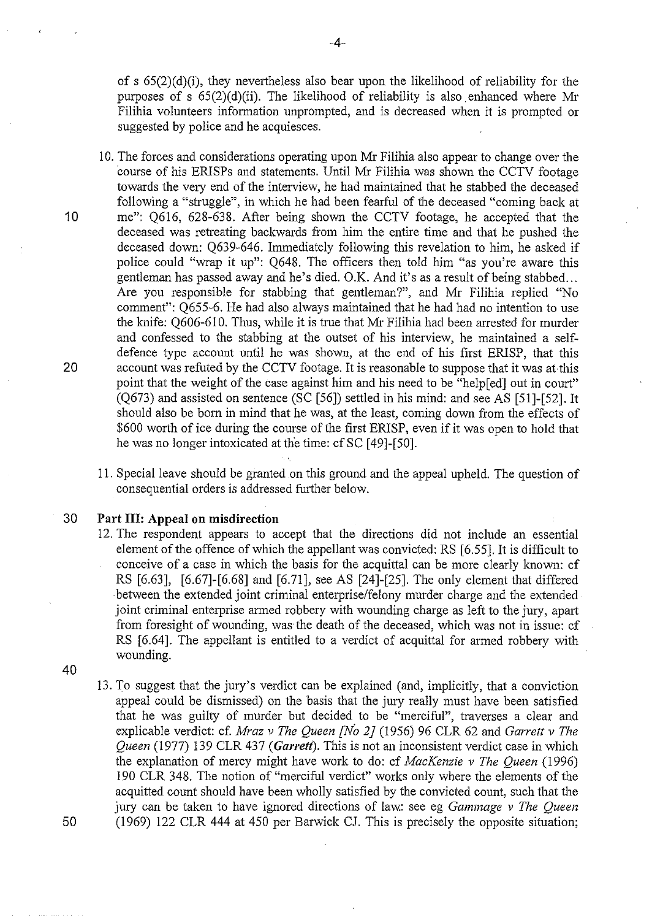of s  $65(2)(d)(i)$ , they nevertheless also bear upon the likelihood of reliability for the purposes of s  $65(2)(d)(ii)$ . The likelihood of reliability is also enhanced where Mr Filihia volunteers information unprompted, and is decreased when it is prompted or suggested by police and he acquiesces.

- I 0. The forces and considerations operating upon Mr Filihia also appear to change over the course of his ERISPs and statements. Until Mr Filihia was shown the CCTV footage towards the very end of the interview, he had maintained that he stabbed the deceased following a "struggle", in which he had been fearful of the deceased "coming back at 10 me": Q616, 628-638. After being shown the CCTV footage, he accepted that the deceased was retreating backwards from him the entire time and that he pushed the deceased down: Q639-646. Immediately following this revelation to him, he asked if police could "wrap it up": Q648. The officers then told him "as you're aware this gentleman has passed away and he's died. O.K. And it's as a result of being stabbed ... Are you responsible for stabbing that gentleman?", and Mr Filihia replied "No comment": Q655-6. He had also always maintained that he had had no intention to use the knife: 0606-610. Thus, while it is true that Mr Filihia had been arrested for murder and confessed to the stabbing at the outset of his interview, he maintained a selfdefence type account until he was shown, at the end of his first ERISP, that this 20 account was refuted by the CCTV footage. It is reasonable to suppose that it was at this point that the weight of the case against him and his need to be "help[ed] out in court" (Q673) and assisted on sentence (SC [56]) settled in his mind: and see AS [51]-[52]. It should also be born in mind that he was, at the least, coming down from the effects of \$600 worth of ice during the course of the first ERISP, even if it was open to hold that he was no longer intoxicated at the time: cf SC [49]-[50].
	- 11. Special leave should be granted on this ground and the appeal upheld. The question of consequential orders is addressed further below.

30 **Part Ill: Appeal on misdirection** 

- 12. The respondent appears to accept that the directions did not include an essential element of the offence of which the appellant was convicted: RS [6.55]. It is difficult to conceive of a case in which the basis for the acquittal can be more clearly known: cf RS [6.63], [6.67]-[6.68] and [6.71], see AS [24]-[25]. The only element that differed between the extended joint criminal enterprise/felony murder charge and the extended joint criminal enterprise armed robbery with wounding charge as left to the jury, apart from foresight of wounding, was·the death of the deceased, which was not in issue: cf RS [6.64]. The appellant is entitled to a verdict of acquittal for armed robbery with wounding.
- 40

!3. To suggest that the jury's verdict can be explained (and, implicitly, that a conviction appeal could be dismissed) on the basis that the jury really must have been satisfied that he was guilty of murder but decided to be "merciful", traverses a clear and explicable verdict: cf. *Mraz v The Queen [No 2]* (!956) 96 CLR 62 and *Garrett v The Queen* (1977) !39 CLR 437 *(Garrett).* This is not an inconsistent verdict case in which the explanation of mercy might have work to do: cf *MacKenzie v The Queen* (1996) 190 CLR 348. The notion of "merciful verdict" works only where the elements of the acquitted count should have been wholly satisfied by the convicted count, such that the jury can be taken to have ignored directions of law.: see eg *Gammage v The Queen*  50 (1969) 122 CLR 444 at 450 per Barwick CJ. This is precisely the opposite situation;